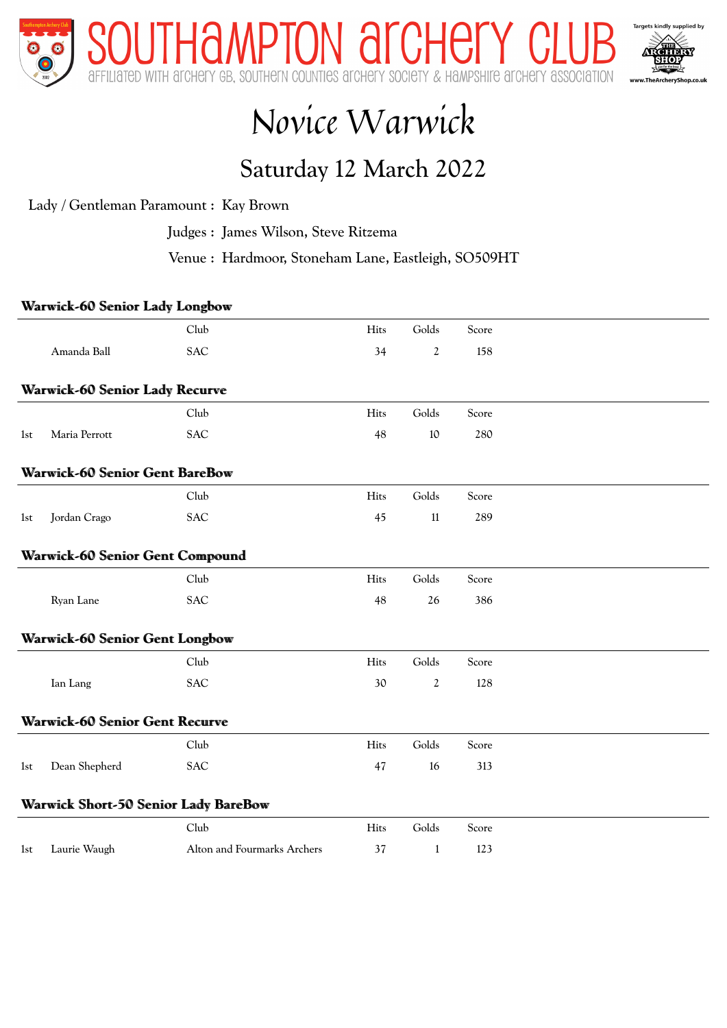

## Novice Warwick

## Saturday 12 March 2022

Lady / Gentleman Paramount : Kay Brown

Judges : James Wilson, Steve Ritzema

Venue : Hardmoor, Stoneham Lane, Eastleigh, SO509HT

## Warwick-60 Senior Lady Longbow

|     |                                        | Club                                        | Hits | Golds          | Score |  |
|-----|----------------------------------------|---------------------------------------------|------|----------------|-------|--|
|     | Amanda Ball                            | <b>SAC</b>                                  | 34   | $\overline{2}$ | 158   |  |
|     |                                        |                                             |      |                |       |  |
|     | <b>Warwick-60 Senior Lady Recurve</b>  |                                             |      |                |       |  |
|     |                                        | Club                                        | Hits | Golds          | Score |  |
| 1st | Maria Perrott                          | <b>SAC</b>                                  | 48   | 10             | 280   |  |
|     | <b>Warwick-60 Senior Gent BareBow</b>  |                                             |      |                |       |  |
|     |                                        | Club                                        | Hits | Golds          | Score |  |
| 1st | Jordan Crago                           | <b>SAC</b>                                  | 45   | $11\,$         | 289   |  |
|     | <b>Warwick-60 Senior Gent Compound</b> |                                             |      |                |       |  |
|     |                                        | Club                                        | Hits | Golds          | Score |  |
|     | Ryan Lane                              | SAC                                         | 48   | 26             | 386   |  |
|     | <b>Warwick-60 Senior Gent Longbow</b>  |                                             |      |                |       |  |
|     |                                        | Club                                        | Hits | Golds          | Score |  |
|     | Ian Lang                               | <b>SAC</b>                                  | 30   | $\overline{2}$ | 128   |  |
|     | <b>Warwick-60 Senior Gent Recurve</b>  |                                             |      |                |       |  |
|     |                                        | Club                                        | Hits | Golds          | Score |  |
| 1st | Dean Shepherd                          | <b>SAC</b>                                  | 47   | 16             | 313   |  |
|     |                                        | <b>Warwick Short-50 Senior Lady BareBow</b> |      |                |       |  |
|     |                                        | Club                                        | Hits | Golds          | Score |  |
| 1st | Laurie Waugh                           | Alton and Fourmarks Archers                 | 37   | 1              | 123   |  |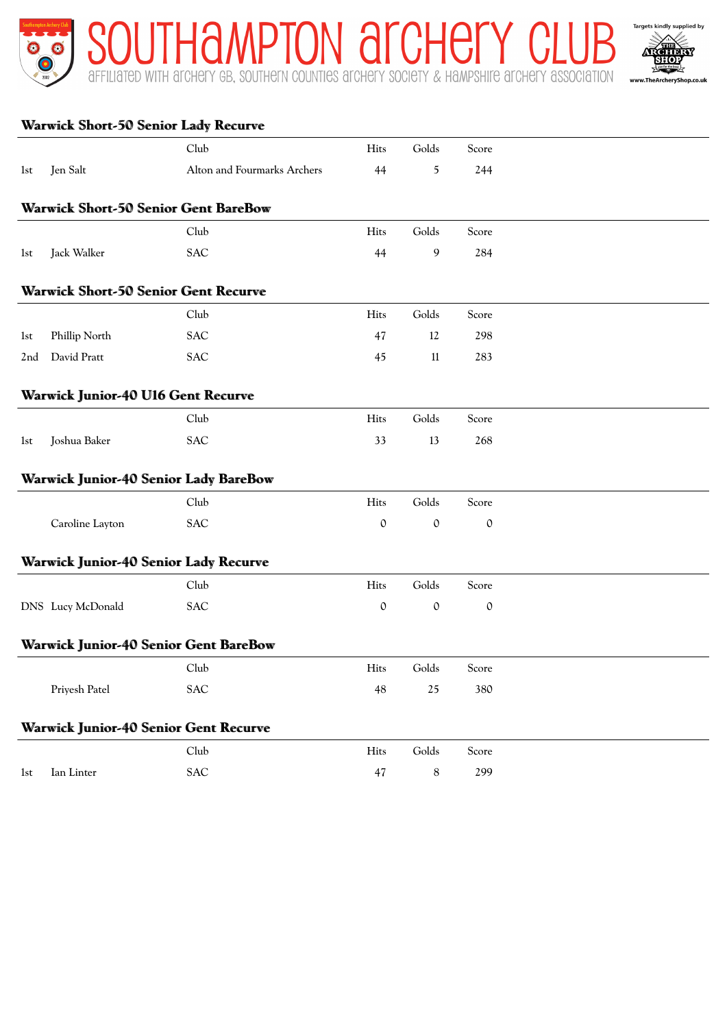



|                 |                                           | <b>Warwick Short-50 Senior Lady Recurve</b>  |             |               |               |  |
|-----------------|-------------------------------------------|----------------------------------------------|-------------|---------------|---------------|--|
|                 |                                           | Club                                         | Hits        | Golds         | Score         |  |
| 1st             | Jen Salt                                  | Alton and Fourmarks Archers                  | 44          | $\mathfrak s$ | 244           |  |
|                 |                                           | <b>Warwick Short-50 Senior Gent BareBow</b>  |             |               |               |  |
|                 |                                           | Club                                         | Hits        | Golds         | Score         |  |
| 1st             | Jack Walker                               | <b>SAC</b>                                   | 44          | 9             | 284           |  |
|                 |                                           | <b>Warwick Short-50 Senior Gent Recurve</b>  |             |               |               |  |
|                 |                                           | Club                                         | Hits        | Golds         | Score         |  |
| 1st             | Phillip North                             | <b>SAC</b>                                   | 47          | 12            | 298           |  |
| 2 <sub>nd</sub> | David Pratt                               | <b>SAC</b>                                   | 45          | 11            | 283           |  |
|                 | <b>Warwick Junior-40 U16 Gent Recurve</b> |                                              |             |               |               |  |
|                 |                                           | Club                                         | Hits        | Golds         | Score         |  |
| 1st             | Joshua Baker                              | <b>SAC</b>                                   | 33          | 13            | 268           |  |
|                 |                                           | <b>Warwick Junior-40 Senior Lady BareBow</b> |             |               |               |  |
|                 |                                           | Club                                         | Hits        | Golds         | Score         |  |
|                 | Caroline Layton                           | <b>SAC</b>                                   | $\mathbf 0$ | $\mathbf 0$   | $\mathcal{O}$ |  |
|                 |                                           | <b>Warwick Junior-40 Senior Lady Recurve</b> |             |               |               |  |
|                 |                                           | Club                                         | Hits        | Golds         | Score         |  |
|                 | DNS Lucy McDonald                         | <b>SAC</b>                                   | $\mathbf 0$ | $\mathbb O$   | 0             |  |
|                 |                                           | <b>Warwick Junior-40 Senior Gent BareBow</b> |             |               |               |  |
|                 |                                           | Club                                         | Hits        | Golds         | Score         |  |
|                 | Priyesh Patel                             | <b>SAC</b>                                   | 48          | 25            | 380           |  |
|                 |                                           | <b>Warwick Junior-40 Senior Gent Recurve</b> |             |               |               |  |
|                 |                                           | Club                                         | Hits        | Golds         | Score         |  |
| 1st             | Ian Linter                                | <b>SAC</b>                                   | 47          | $\,$ 8 $\,$   | 299           |  |